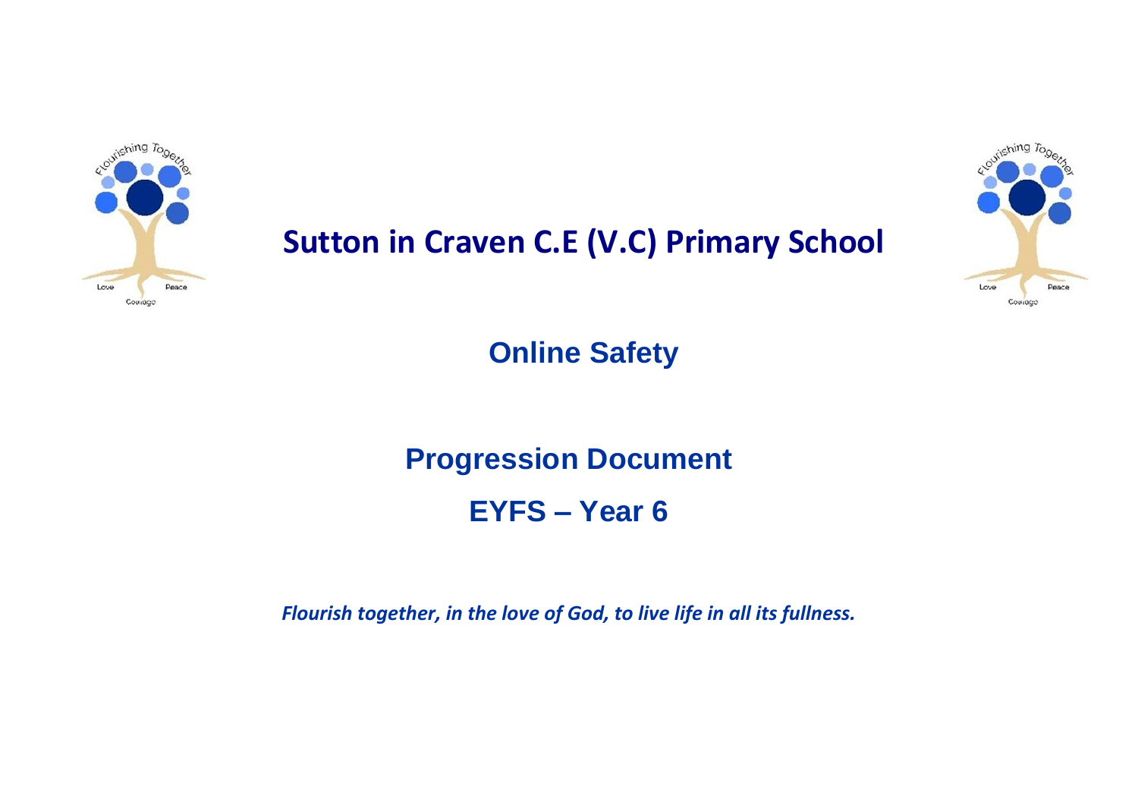

## **Sutton in Craven C.E (V.C) Primary School**



**Online Safety** 

**Progression Document** 

**EYFS – Year 6** 

*Flourish together, in the love of God, to live life in all its fullness.*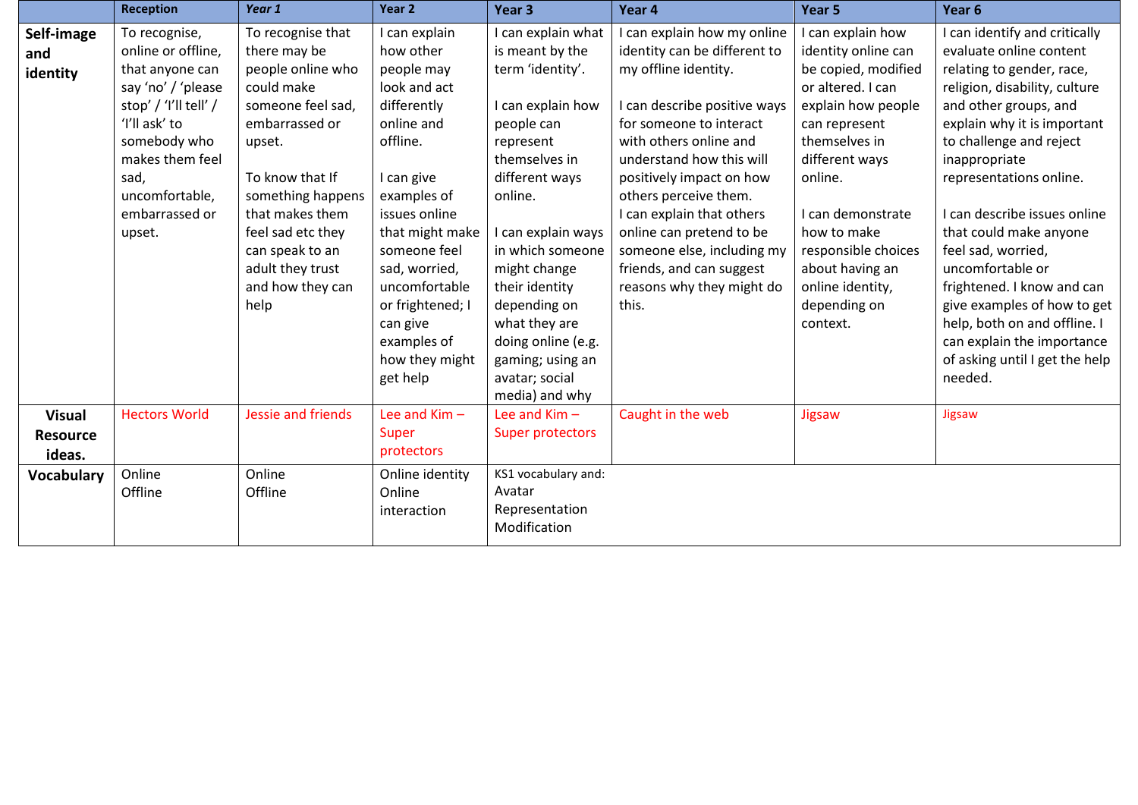|                                            | <b>Reception</b>                                                                                                                                                                                                | Year 1                                                                                                                                                                                                                                                                   | Year 2                                                                                                                                                                                                                                                                                            | Year <sub>3</sub>                                                                                                                                                                                                                                                                                                                | Year 4                                                                                                                                                                                                                                                                                                                                                                                                             | Year 5                                                                                                                                                                                                                                                                                                | Year <sub>6</sub>                                                                                                                                                                                                                                                                                                                                                                                                                                                                                                                 |
|--------------------------------------------|-----------------------------------------------------------------------------------------------------------------------------------------------------------------------------------------------------------------|--------------------------------------------------------------------------------------------------------------------------------------------------------------------------------------------------------------------------------------------------------------------------|---------------------------------------------------------------------------------------------------------------------------------------------------------------------------------------------------------------------------------------------------------------------------------------------------|----------------------------------------------------------------------------------------------------------------------------------------------------------------------------------------------------------------------------------------------------------------------------------------------------------------------------------|--------------------------------------------------------------------------------------------------------------------------------------------------------------------------------------------------------------------------------------------------------------------------------------------------------------------------------------------------------------------------------------------------------------------|-------------------------------------------------------------------------------------------------------------------------------------------------------------------------------------------------------------------------------------------------------------------------------------------------------|-----------------------------------------------------------------------------------------------------------------------------------------------------------------------------------------------------------------------------------------------------------------------------------------------------------------------------------------------------------------------------------------------------------------------------------------------------------------------------------------------------------------------------------|
| Self-image<br>and<br>identity              | To recognise,<br>online or offline,<br>that anyone can<br>say 'no' / 'please<br>stop' / 'I'll tell' /<br>'I'll ask' to<br>somebody who<br>makes them feel<br>sad,<br>uncomfortable,<br>embarrassed or<br>upset. | To recognise that<br>there may be<br>people online who<br>could make<br>someone feel sad,<br>embarrassed or<br>upset.<br>To know that If<br>something happens<br>that makes them<br>feel sad etc they<br>can speak to an<br>adult they trust<br>and how they can<br>help | I can explain<br>how other<br>people may<br>look and act<br>differently<br>online and<br>offline.<br>I can give<br>examples of<br>issues online<br>that might make<br>someone feel<br>sad, worried,<br>uncomfortable<br>or frightened; I<br>can give<br>examples of<br>how they might<br>get help | I can explain what<br>is meant by the<br>term 'identity'.<br>I can explain how<br>people can<br>represent<br>themselves in<br>different ways<br>online.<br>I can explain ways<br>in which someone<br>might change<br>their identity<br>depending on<br>what they are<br>doing online (e.g.<br>gaming; using an<br>avatar; social | I can explain how my online<br>identity can be different to<br>my offline identity.<br>I can describe positive ways<br>for someone to interact<br>with others online and<br>understand how this will<br>positively impact on how<br>others perceive them.<br>I can explain that others<br>online can pretend to be<br>someone else, including my<br>friends, and can suggest<br>reasons why they might do<br>this. | can explain how<br>identity online can<br>be copied, modified<br>or altered. I can<br>explain how people<br>can represent<br>themselves in<br>different ways<br>online.<br>I can demonstrate<br>how to make<br>responsible choices<br>about having an<br>online identity,<br>depending on<br>context. | I can identify and critically<br>evaluate online content<br>relating to gender, race,<br>religion, disability, culture<br>and other groups, and<br>explain why it is important<br>to challenge and reject<br>inappropriate<br>representations online.<br>I can describe issues online<br>that could make anyone<br>feel sad, worried,<br>uncomfortable or<br>frightened. I know and can<br>give examples of how to get<br>help, both on and offline. I<br>can explain the importance<br>of asking until I get the help<br>needed. |
| <b>Visual</b><br><b>Resource</b><br>ideas. | <b>Hectors World</b>                                                                                                                                                                                            | Jessie and friends                                                                                                                                                                                                                                                       | Lee and $Kim -$<br>Super<br>protectors                                                                                                                                                                                                                                                            | media) and why<br>Lee and $Kim -$<br>Super protectors                                                                                                                                                                                                                                                                            | Caught in the web                                                                                                                                                                                                                                                                                                                                                                                                  | Jigsaw                                                                                                                                                                                                                                                                                                | Jigsaw                                                                                                                                                                                                                                                                                                                                                                                                                                                                                                                            |
| <b>Vocabulary</b>                          | Online<br>Offline                                                                                                                                                                                               | Online<br>Offline                                                                                                                                                                                                                                                        | Online identity<br>Online<br>interaction                                                                                                                                                                                                                                                          | KS1 vocabulary and:<br>Avatar<br>Representation<br>Modification                                                                                                                                                                                                                                                                  |                                                                                                                                                                                                                                                                                                                                                                                                                    |                                                                                                                                                                                                                                                                                                       |                                                                                                                                                                                                                                                                                                                                                                                                                                                                                                                                   |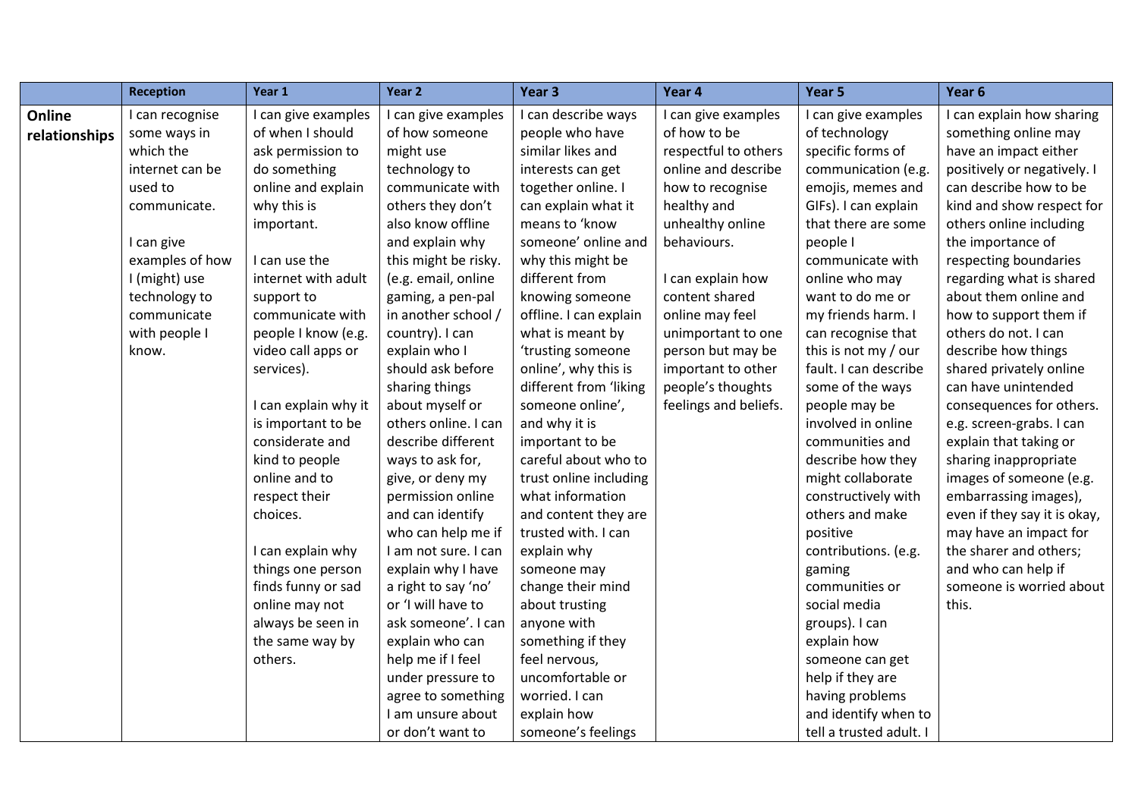|               | <b>Reception</b> | Year 1               | Year <sub>2</sub>    | Year 3                 | Year 4                | Year 5                  | Year 6                       |
|---------------|------------------|----------------------|----------------------|------------------------|-----------------------|-------------------------|------------------------------|
| Online        | I can recognise  | I can give examples  | I can give examples  | I can describe ways    | I can give examples   | I can give examples     | I can explain how sharing    |
| relationships | some ways in     | of when I should     | of how someone       | people who have        | of how to be          | of technology           | something online may         |
|               | which the        | ask permission to    | might use            | similar likes and      | respectful to others  | specific forms of       | have an impact either        |
|               | internet can be  | do something         | technology to        | interests can get      | online and describe   | communication (e.g.     | positively or negatively. I  |
|               | used to          | online and explain   | communicate with     | together online. I     | how to recognise      | emojis, memes and       | can describe how to be       |
|               | communicate.     | why this is          | others they don't    | can explain what it    | healthy and           | GIFs). I can explain    | kind and show respect for    |
|               |                  | important.           | also know offline    | means to 'know         | unhealthy online      | that there are some     | others online including      |
|               | I can give       |                      | and explain why      | someone' online and    | behaviours.           | people I                | the importance of            |
|               | examples of how  | I can use the        | this might be risky. | why this might be      |                       | communicate with        | respecting boundaries        |
|               | I (might) use    | internet with adult  | (e.g. email, online  | different from         | I can explain how     | online who may          | regarding what is shared     |
|               | technology to    | support to           | gaming, a pen-pal    | knowing someone        | content shared        | want to do me or        | about them online and        |
|               | communicate      | communicate with     | in another school /  | offline. I can explain | online may feel       | my friends harm. I      | how to support them if       |
|               | with people I    | people I know (e.g.  | country). I can      | what is meant by       | unimportant to one    | can recognise that      | others do not. I can         |
|               | know.            | video call apps or   | explain who I        | 'trusting someone      | person but may be     | this is not my / our    | describe how things          |
|               |                  | services).           | should ask before    | online', why this is   | important to other    | fault. I can describe   | shared privately online      |
|               |                  |                      | sharing things       | different from 'liking | people's thoughts     | some of the ways        | can have unintended          |
|               |                  | I can explain why it | about myself or      | someone online',       | feelings and beliefs. | people may be           | consequences for others.     |
|               |                  | is important to be   | others online. I can | and why it is          |                       | involved in online      | e.g. screen-grabs. I can     |
|               |                  | considerate and      | describe different   | important to be        |                       | communities and         | explain that taking or       |
|               |                  | kind to people       | ways to ask for,     | careful about who to   |                       | describe how they       | sharing inappropriate        |
|               |                  | online and to        | give, or deny my     | trust online including |                       | might collaborate       | images of someone (e.g.      |
|               |                  | respect their        | permission online    | what information       |                       | constructively with     | embarrassing images),        |
|               |                  | choices.             | and can identify     | and content they are   |                       | others and make         | even if they say it is okay, |
|               |                  |                      | who can help me if   | trusted with. I can    |                       | positive                | may have an impact for       |
|               |                  | I can explain why    | I am not sure. I can | explain why            |                       | contributions. (e.g.    | the sharer and others;       |
|               |                  | things one person    | explain why I have   | someone may            |                       | gaming                  | and who can help if          |
|               |                  | finds funny or sad   | a right to say 'no'  | change their mind      |                       | communities or          | someone is worried about     |
|               |                  | online may not       | or 'I will have to   | about trusting         |                       | social media            | this.                        |
|               |                  | always be seen in    | ask someone'. I can  | anyone with            |                       | groups). I can          |                              |
|               |                  | the same way by      | explain who can      | something if they      |                       | explain how             |                              |
|               |                  | others.              | help me if I feel    | feel nervous,          |                       | someone can get         |                              |
|               |                  |                      | under pressure to    | uncomfortable or       |                       | help if they are        |                              |
|               |                  |                      | agree to something   | worried. I can         |                       | having problems         |                              |
|               |                  |                      | I am unsure about    | explain how            |                       | and identify when to    |                              |
|               |                  |                      | or don't want to     | someone's feelings     |                       | tell a trusted adult. I |                              |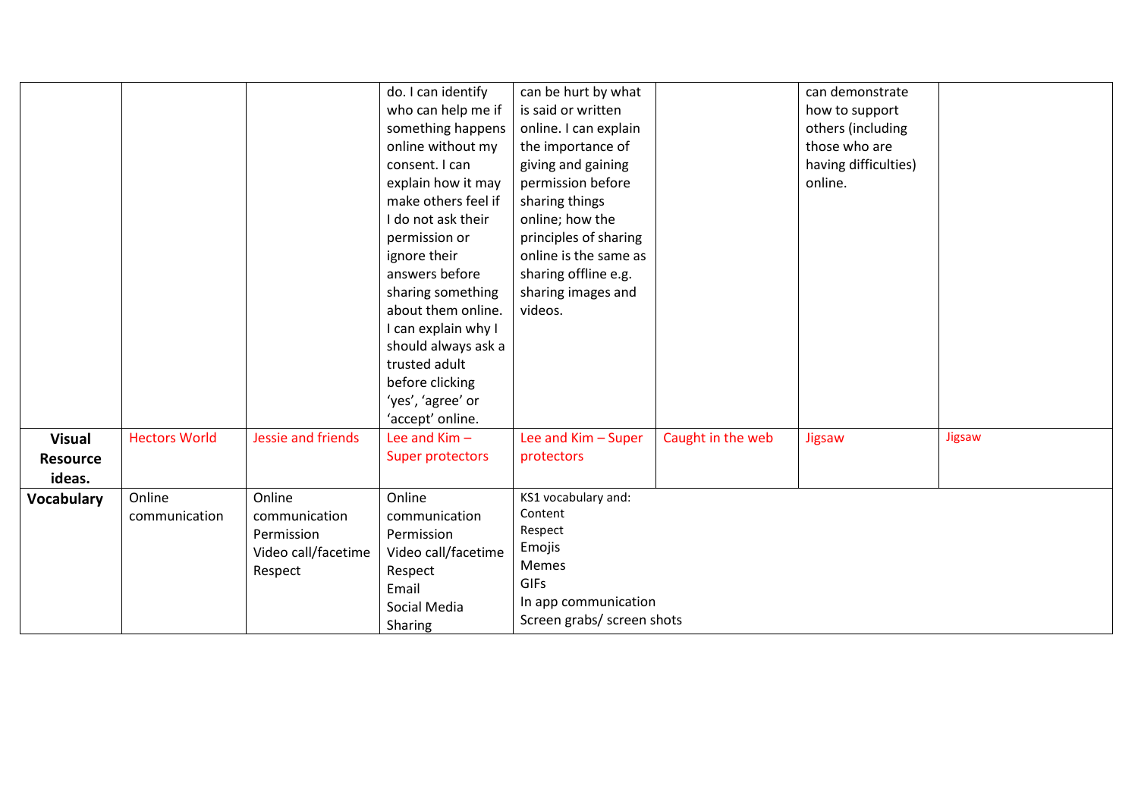|                   |                      |                     | do. I can identify  | can be hurt by what        |                   | can demonstrate      |        |
|-------------------|----------------------|---------------------|---------------------|----------------------------|-------------------|----------------------|--------|
|                   |                      |                     | who can help me if  | is said or written         |                   | how to support       |        |
|                   |                      |                     | something happens   | online. I can explain      |                   | others (including    |        |
|                   |                      |                     | online without my   | the importance of          |                   | those who are        |        |
|                   |                      |                     | consent. I can      | giving and gaining         |                   | having difficulties) |        |
|                   |                      |                     | explain how it may  | permission before          |                   | online.              |        |
|                   |                      |                     | make others feel if | sharing things             |                   |                      |        |
|                   |                      |                     | I do not ask their  | online; how the            |                   |                      |        |
|                   |                      |                     | permission or       | principles of sharing      |                   |                      |        |
|                   |                      |                     | ignore their        | online is the same as      |                   |                      |        |
|                   |                      |                     | answers before      | sharing offline e.g.       |                   |                      |        |
|                   |                      |                     | sharing something   | sharing images and         |                   |                      |        |
|                   |                      |                     | about them online.  | videos.                    |                   |                      |        |
|                   |                      |                     | I can explain why I |                            |                   |                      |        |
|                   |                      |                     | should always ask a |                            |                   |                      |        |
|                   |                      |                     | trusted adult       |                            |                   |                      |        |
|                   |                      |                     | before clicking     |                            |                   |                      |        |
|                   |                      |                     | 'yes', 'agree' or   |                            |                   |                      |        |
|                   |                      |                     | 'accept' online.    |                            |                   |                      |        |
| <b>Visual</b>     | <b>Hectors World</b> | Jessie and friends  | Lee and $Kim -$     | Lee and Kim - Super        | Caught in the web | Jigsaw               | Jigsaw |
| <b>Resource</b>   |                      |                     | Super protectors    | protectors                 |                   |                      |        |
| ideas.            |                      |                     |                     |                            |                   |                      |        |
| <b>Vocabulary</b> | Online               | Online              | Online              | KS1 vocabulary and:        |                   |                      |        |
|                   | communication        | communication       | communication       | Content                    |                   |                      |        |
|                   |                      | Permission          | Permission          | Respect                    |                   |                      |        |
|                   |                      | Video call/facetime | Video call/facetime | Emojis                     |                   |                      |        |
|                   |                      |                     |                     | Memes                      |                   |                      |        |
|                   |                      | Respect             | Respect             | <b>GIFs</b>                |                   |                      |        |
|                   |                      |                     | Email               | In app communication       |                   |                      |        |
|                   |                      |                     | Social Media        | Screen grabs/ screen shots |                   |                      |        |
|                   |                      |                     | Sharing             |                            |                   |                      |        |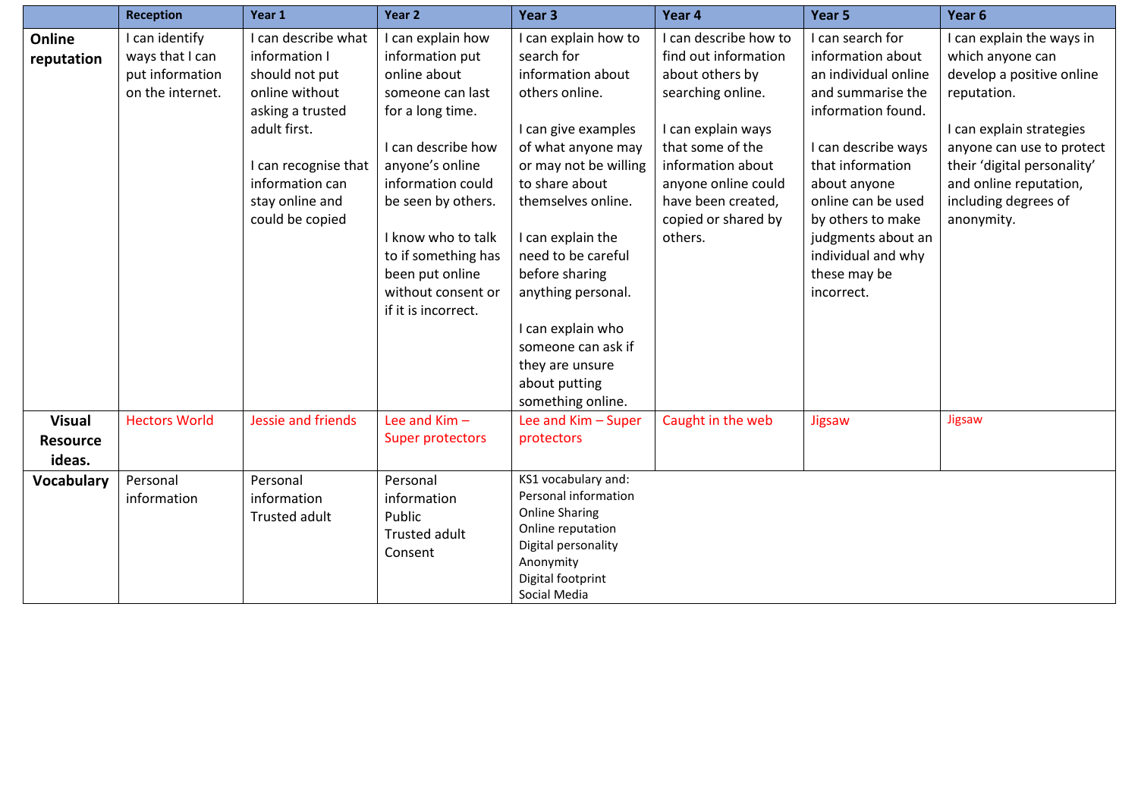|                                            | <b>Reception</b>                                                         | Year 1                                                                                                                                                                                        | Year <sub>2</sub>                                                                                                                                                                                                                                                                             | Year 3                                                                                                                                                                                                                                                                                                                                                                         | Year 4                                                                                                                                                                                                                              | Year 5                                                                                                                                                                                                                                                                                   | Year 6                                                                                                                                                                                                                                            |
|--------------------------------------------|--------------------------------------------------------------------------|-----------------------------------------------------------------------------------------------------------------------------------------------------------------------------------------------|-----------------------------------------------------------------------------------------------------------------------------------------------------------------------------------------------------------------------------------------------------------------------------------------------|--------------------------------------------------------------------------------------------------------------------------------------------------------------------------------------------------------------------------------------------------------------------------------------------------------------------------------------------------------------------------------|-------------------------------------------------------------------------------------------------------------------------------------------------------------------------------------------------------------------------------------|------------------------------------------------------------------------------------------------------------------------------------------------------------------------------------------------------------------------------------------------------------------------------------------|---------------------------------------------------------------------------------------------------------------------------------------------------------------------------------------------------------------------------------------------------|
| Online<br>reputation                       | I can identify<br>ways that I can<br>put information<br>on the internet. | I can describe what<br>information I<br>should not put<br>online without<br>asking a trusted<br>adult first.<br>I can recognise that<br>information can<br>stay online and<br>could be copied | I can explain how<br>information put<br>online about<br>someone can last<br>for a long time.<br>I can describe how<br>anyone's online<br>information could<br>be seen by others.<br>I know who to talk<br>to if something has<br>been put online<br>without consent or<br>if it is incorrect. | I can explain how to<br>search for<br>information about<br>others online.<br>I can give examples<br>of what anyone may<br>or may not be willing<br>to share about<br>themselves online.<br>I can explain the<br>need to be careful<br>before sharing<br>anything personal.<br>I can explain who<br>someone can ask if<br>they are unsure<br>about putting<br>something online. | I can describe how to<br>find out information<br>about others by<br>searching online.<br>I can explain ways<br>that some of the<br>information about<br>anyone online could<br>have been created,<br>copied or shared by<br>others. | I can search for<br>information about<br>an individual online<br>and summarise the<br>information found.<br>I can describe ways<br>that information<br>about anyone<br>online can be used<br>by others to make<br>judgments about an<br>individual and why<br>these may be<br>incorrect. | I can explain the ways in<br>which anyone can<br>develop a positive online<br>reputation.<br>I can explain strategies<br>anyone can use to protect<br>their 'digital personality'<br>and online reputation,<br>including degrees of<br>anonymity. |
| <b>Visual</b><br><b>Resource</b><br>ideas. | <b>Hectors World</b>                                                     | Jessie and friends                                                                                                                                                                            | Lee and $Kim -$<br>Super protectors                                                                                                                                                                                                                                                           | Lee and Kim - Super<br>protectors                                                                                                                                                                                                                                                                                                                                              | Caught in the web                                                                                                                                                                                                                   | Jigsaw                                                                                                                                                                                                                                                                                   | Jigsaw                                                                                                                                                                                                                                            |
| Vocabulary                                 | Personal<br>information                                                  | Personal<br>information<br>Trusted adult                                                                                                                                                      | Personal<br>information<br>Public<br>Trusted adult<br>Consent                                                                                                                                                                                                                                 | KS1 vocabulary and:<br>Personal information<br><b>Online Sharing</b><br>Online reputation<br>Digital personality<br>Anonymity<br>Digital footprint<br>Social Media                                                                                                                                                                                                             |                                                                                                                                                                                                                                     |                                                                                                                                                                                                                                                                                          |                                                                                                                                                                                                                                                   |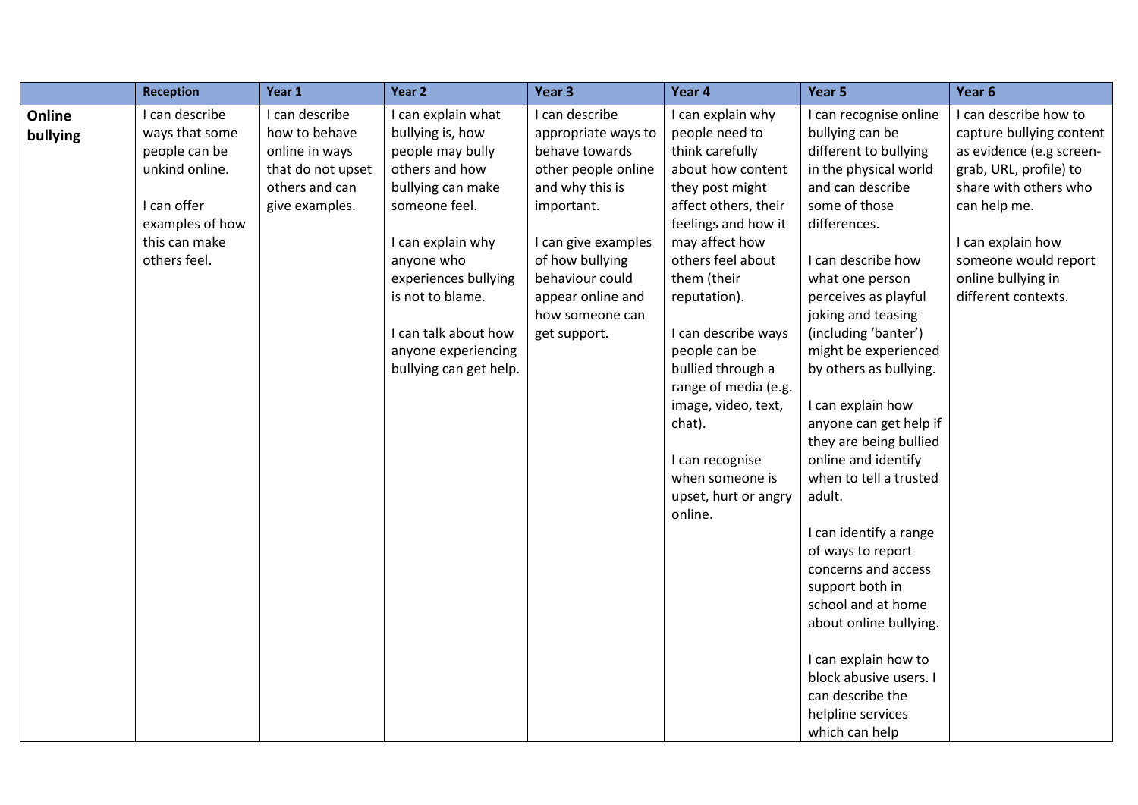|                    | <b>Reception</b>                                                                                                                       | Year 1                                                                                                     | Year 2                                                                                                                                                                                                                                                                     | Year <sub>3</sub>                                                                                                                                                                                                                    | Year 4                                                                                                                                                                                                                                                                                                                                                       | Year 5                                                                                                                                                                                                                                                                                                                                                                                                            | Year 6                                                                                                                                                                                                                                     |
|--------------------|----------------------------------------------------------------------------------------------------------------------------------------|------------------------------------------------------------------------------------------------------------|----------------------------------------------------------------------------------------------------------------------------------------------------------------------------------------------------------------------------------------------------------------------------|--------------------------------------------------------------------------------------------------------------------------------------------------------------------------------------------------------------------------------------|--------------------------------------------------------------------------------------------------------------------------------------------------------------------------------------------------------------------------------------------------------------------------------------------------------------------------------------------------------------|-------------------------------------------------------------------------------------------------------------------------------------------------------------------------------------------------------------------------------------------------------------------------------------------------------------------------------------------------------------------------------------------------------------------|--------------------------------------------------------------------------------------------------------------------------------------------------------------------------------------------------------------------------------------------|
| Online<br>bullying | I can describe<br>ways that some<br>people can be<br>unkind online.<br>I can offer<br>examples of how<br>this can make<br>others feel. | I can describe<br>how to behave<br>online in ways<br>that do not upset<br>others and can<br>give examples. | I can explain what<br>bullying is, how<br>people may bully<br>others and how<br>bullying can make<br>someone feel.<br>I can explain why<br>anyone who<br>experiences bullying<br>is not to blame.<br>I can talk about how<br>anyone experiencing<br>bullying can get help. | I can describe<br>appropriate ways to<br>behave towards<br>other people online<br>and why this is<br>important.<br>I can give examples<br>of how bullying<br>behaviour could<br>appear online and<br>how someone can<br>get support. | I can explain why<br>people need to<br>think carefully<br>about how content<br>they post might<br>affect others, their<br>feelings and how it<br>may affect how<br>others feel about<br>them (their<br>reputation).<br>I can describe ways<br>people can be<br>bullied through a<br>range of media (e.g.<br>image, video, text,<br>chat).<br>I can recognise | I can recognise online<br>bullying can be<br>different to bullying<br>in the physical world<br>and can describe<br>some of those<br>differences.<br>I can describe how<br>what one person<br>perceives as playful<br>joking and teasing<br>(including 'banter')<br>might be experienced<br>by others as bullying.<br>I can explain how<br>anyone can get help if<br>they are being bullied<br>online and identify | I can describe how to<br>capture bullying content<br>as evidence (e.g screen-<br>grab, URL, profile) to<br>share with others who<br>can help me.<br>I can explain how<br>someone would report<br>online bullying in<br>different contexts. |
|                    |                                                                                                                                        |                                                                                                            |                                                                                                                                                                                                                                                                            |                                                                                                                                                                                                                                      | when someone is<br>upset, hurt or angry<br>online.                                                                                                                                                                                                                                                                                                           | when to tell a trusted<br>adult.<br>I can identify a range<br>of ways to report<br>concerns and access<br>support both in                                                                                                                                                                                                                                                                                         |                                                                                                                                                                                                                                            |
|                    |                                                                                                                                        |                                                                                                            |                                                                                                                                                                                                                                                                            |                                                                                                                                                                                                                                      |                                                                                                                                                                                                                                                                                                                                                              | school and at home<br>about online bullying.<br>I can explain how to<br>block abusive users. I<br>can describe the<br>helpline services<br>which can help                                                                                                                                                                                                                                                         |                                                                                                                                                                                                                                            |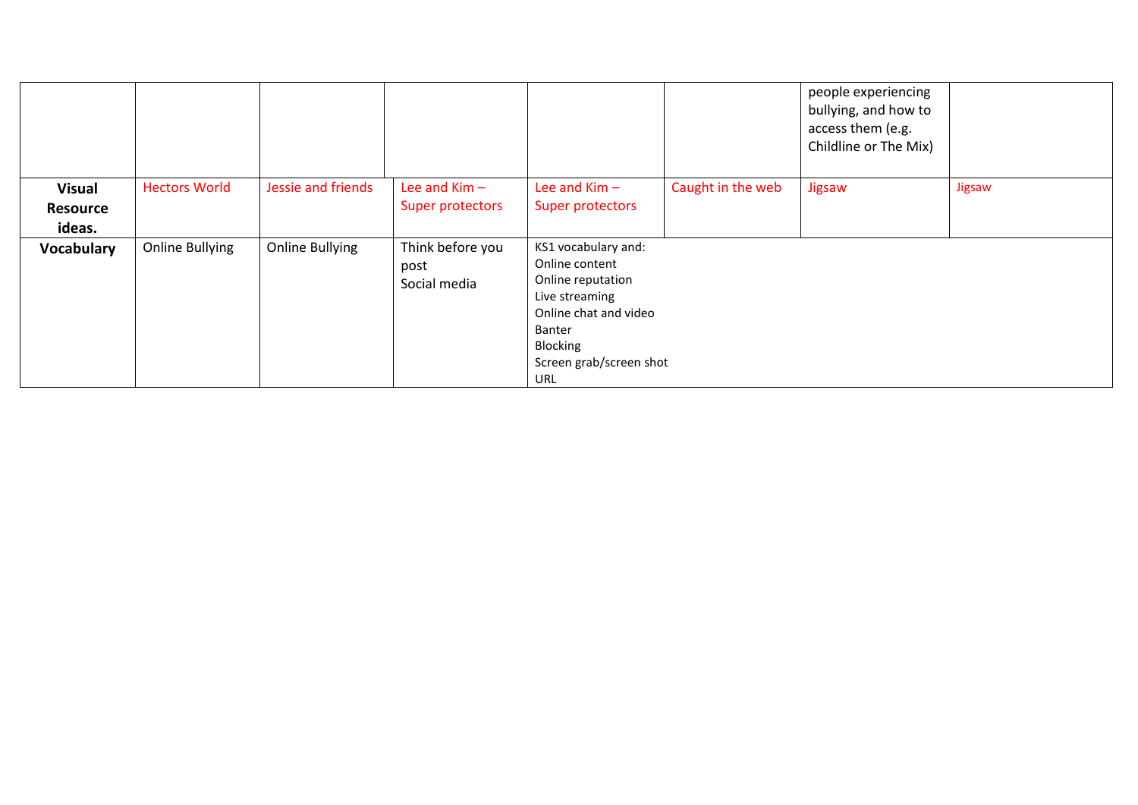|                                            |                        |                        |                                          |                                                                                                                                                                      |                   | people experiencing<br>bullying, and how to<br>access them (e.g.<br>Childline or The Mix) |        |
|--------------------------------------------|------------------------|------------------------|------------------------------------------|----------------------------------------------------------------------------------------------------------------------------------------------------------------------|-------------------|-------------------------------------------------------------------------------------------|--------|
| <b>Visual</b><br><b>Resource</b><br>ideas. | <b>Hectors World</b>   | Jessie and friends     | Lee and $Kim -$<br>Super protectors      | Lee and $Kim -$<br>Super protectors                                                                                                                                  | Caught in the web | Jigsaw                                                                                    | Jigsaw |
| Vocabulary                                 | <b>Online Bullying</b> | <b>Online Bullying</b> | Think before you<br>post<br>Social media | KS1 vocabulary and:<br>Online content<br>Online reputation<br>Live streaming<br>Online chat and video<br>Banter<br>Blocking<br>Screen grab/screen shot<br><b>URL</b> |                   |                                                                                           |        |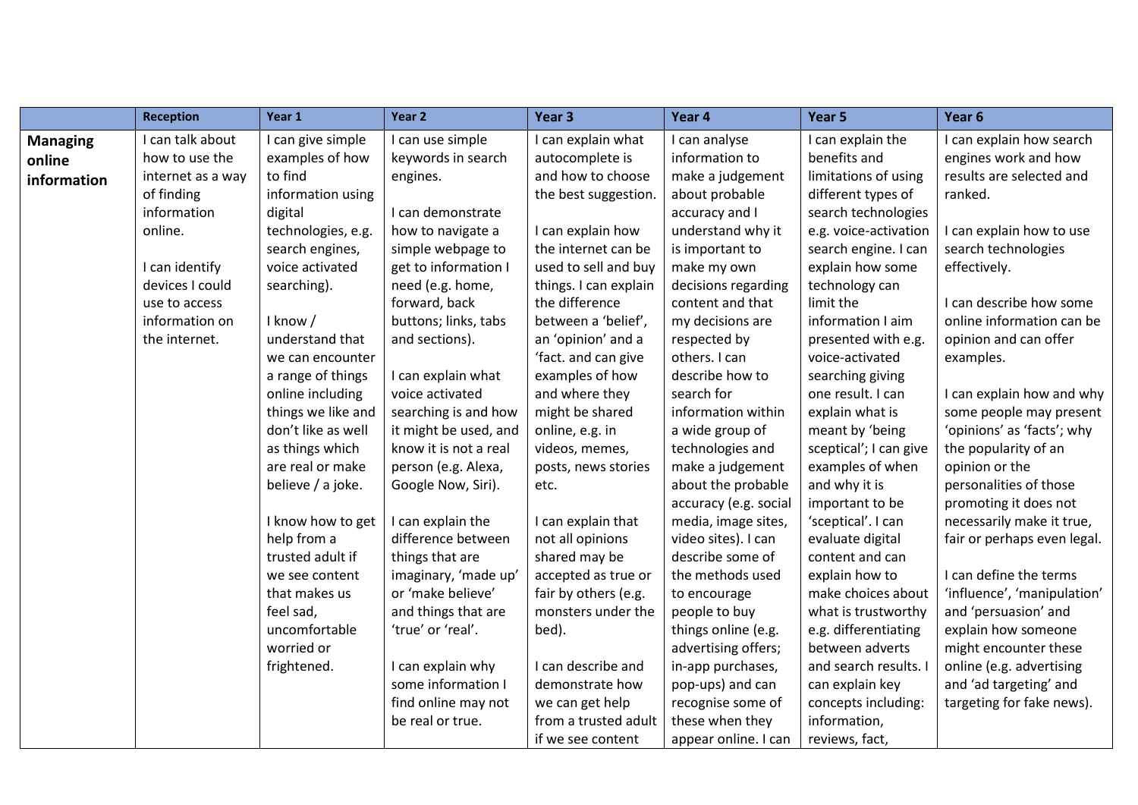|                 | <b>Reception</b>  | Year 1             | Year <sub>2</sub>     | Year 3                | Year 4                | Year 5                 | Year 6                      |
|-----------------|-------------------|--------------------|-----------------------|-----------------------|-----------------------|------------------------|-----------------------------|
| <b>Managing</b> | I can talk about  | I can give simple  | I can use simple      | I can explain what    | I can analyse         | I can explain the      | I can explain how search    |
| online          | how to use the    | examples of how    | keywords in search    | autocomplete is       | information to        | benefits and           | engines work and how        |
| information     | internet as a way | to find            | engines.              | and how to choose     | make a judgement      | limitations of using   | results are selected and    |
|                 | of finding        | information using  |                       | the best suggestion.  | about probable        | different types of     | ranked.                     |
|                 | information       | digital            | I can demonstrate     |                       | accuracy and I        | search technologies    |                             |
|                 | online.           | technologies, e.g. | how to navigate a     | I can explain how     | understand why it     | e.g. voice-activation  | I can explain how to use    |
|                 |                   | search engines,    | simple webpage to     | the internet can be   | is important to       | search engine. I can   | search technologies         |
|                 | I can identify    | voice activated    | get to information I  | used to sell and buy  | make my own           | explain how some       | effectively.                |
|                 | devices I could   | searching).        | need (e.g. home,      | things. I can explain | decisions regarding   | technology can         |                             |
|                 | use to access     |                    | forward, back         | the difference        | content and that      | limit the              | I can describe how some     |
|                 | information on    | I know /           | buttons; links, tabs  | between a 'belief',   | my decisions are      | information I aim      | online information can be   |
|                 | the internet.     | understand that    | and sections).        | an 'opinion' and a    | respected by          | presented with e.g.    | opinion and can offer       |
|                 |                   | we can encounter   |                       | 'fact. and can give   | others. I can         | voice-activated        | examples.                   |
|                 |                   | a range of things  | I can explain what    | examples of how       | describe how to       | searching giving       |                             |
|                 |                   | online including   | voice activated       | and where they        | search for            | one result. I can      | I can explain how and why   |
|                 |                   | things we like and | searching is and how  | might be shared       | information within    | explain what is        | some people may present     |
|                 |                   | don't like as well | it might be used, and | online, e.g. in       | a wide group of       | meant by 'being        | 'opinions' as 'facts'; why  |
|                 |                   | as things which    | know it is not a real | videos, memes,        | technologies and      | sceptical'; I can give | the popularity of an        |
|                 |                   | are real or make   | person (e.g. Alexa,   | posts, news stories   | make a judgement      | examples of when       | opinion or the              |
|                 |                   | believe / a joke.  | Google Now, Siri).    | etc.                  | about the probable    | and why it is          | personalities of those      |
|                 |                   |                    |                       |                       | accuracy (e.g. social | important to be        | promoting it does not       |
|                 |                   | I know how to get  | I can explain the     | I can explain that    | media, image sites,   | 'sceptical'. I can     | necessarily make it true,   |
|                 |                   | help from a        | difference between    | not all opinions      | video sites). I can   | evaluate digital       | fair or perhaps even legal. |
|                 |                   | trusted adult if   | things that are       | shared may be         | describe some of      | content and can        |                             |
|                 |                   | we see content     | imaginary, 'made up'  | accepted as true or   | the methods used      | explain how to         | I can define the terms      |
|                 |                   | that makes us      | or 'make believe'     | fair by others (e.g.  | to encourage          | make choices about     | 'influence', 'manipulation' |
|                 |                   | feel sad,          | and things that are   | monsters under the    | people to buy         | what is trustworthy    | and 'persuasion' and        |
|                 |                   | uncomfortable      | 'true' or 'real'.     | bed).                 | things online (e.g.   | e.g. differentiating   | explain how someone         |
|                 |                   | worried or         |                       |                       | advertising offers;   | between adverts        | might encounter these       |
|                 |                   | frightened.        | I can explain why     | I can describe and    | in-app purchases,     | and search results. I  | online (e.g. advertising    |
|                 |                   |                    | some information I    | demonstrate how       | pop-ups) and can      | can explain key        | and 'ad targeting' and      |
|                 |                   |                    | find online may not   | we can get help       | recognise some of     | concepts including:    | targeting for fake news).   |
|                 |                   |                    | be real or true.      | from a trusted adult  | these when they       | information,           |                             |
|                 |                   |                    |                       | if we see content     | appear online. I can  | reviews, fact,         |                             |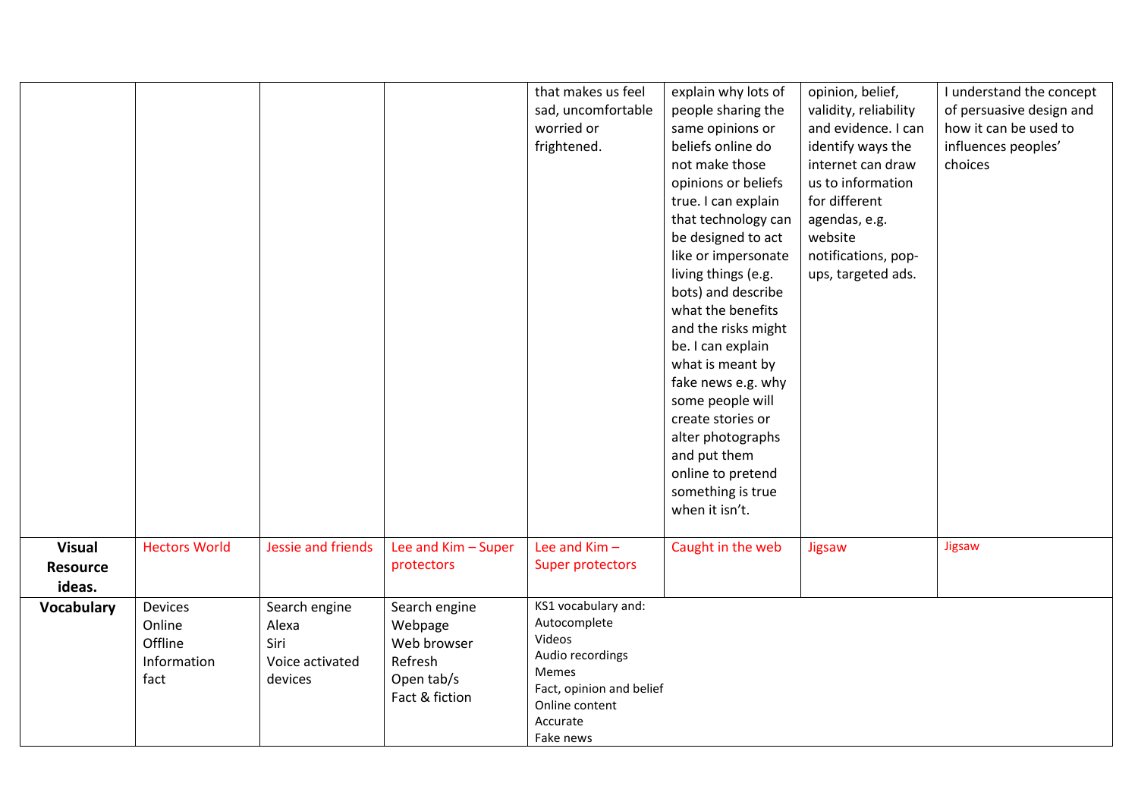|                                            |                                                     |                                                              |                                                                                    | that makes us feel<br>sad, uncomfortable<br>worried or<br>frightened.                                                                             | explain why lots of<br>people sharing the<br>same opinions or<br>beliefs online do<br>not make those<br>opinions or beliefs<br>true. I can explain<br>that technology can<br>be designed to act<br>like or impersonate<br>living things (e.g.<br>bots) and describe<br>what the benefits<br>and the risks might<br>be. I can explain<br>what is meant by<br>fake news e.g. why<br>some people will<br>create stories or<br>alter photographs<br>and put them<br>online to pretend<br>something is true<br>when it isn't. | opinion, belief,<br>validity, reliability<br>and evidence. I can<br>identify ways the<br>internet can draw<br>us to information<br>for different<br>agendas, e.g.<br>website<br>notifications, pop-<br>ups, targeted ads. | I understand the concept<br>of persuasive design and<br>how it can be used to<br>influences peoples'<br>choices |
|--------------------------------------------|-----------------------------------------------------|--------------------------------------------------------------|------------------------------------------------------------------------------------|---------------------------------------------------------------------------------------------------------------------------------------------------|--------------------------------------------------------------------------------------------------------------------------------------------------------------------------------------------------------------------------------------------------------------------------------------------------------------------------------------------------------------------------------------------------------------------------------------------------------------------------------------------------------------------------|---------------------------------------------------------------------------------------------------------------------------------------------------------------------------------------------------------------------------|-----------------------------------------------------------------------------------------------------------------|
| <b>Visual</b><br><b>Resource</b><br>ideas. | <b>Hectors World</b>                                | Jessie and friends                                           | Lee and Kim - Super<br>protectors                                                  | Lee and $Kim -$<br>Super protectors                                                                                                               | Caught in the web                                                                                                                                                                                                                                                                                                                                                                                                                                                                                                        | Jigsaw                                                                                                                                                                                                                    | Jigsaw                                                                                                          |
| Vocabulary                                 | Devices<br>Online<br>Offline<br>Information<br>fact | Search engine<br>Alexa<br>Siri<br>Voice activated<br>devices | Search engine<br>Webpage<br>Web browser<br>Refresh<br>Open tab/s<br>Fact & fiction | KS1 vocabulary and:<br>Autocomplete<br>Videos<br>Audio recordings<br>Memes<br>Fact, opinion and belief<br>Online content<br>Accurate<br>Fake news |                                                                                                                                                                                                                                                                                                                                                                                                                                                                                                                          |                                                                                                                                                                                                                           |                                                                                                                 |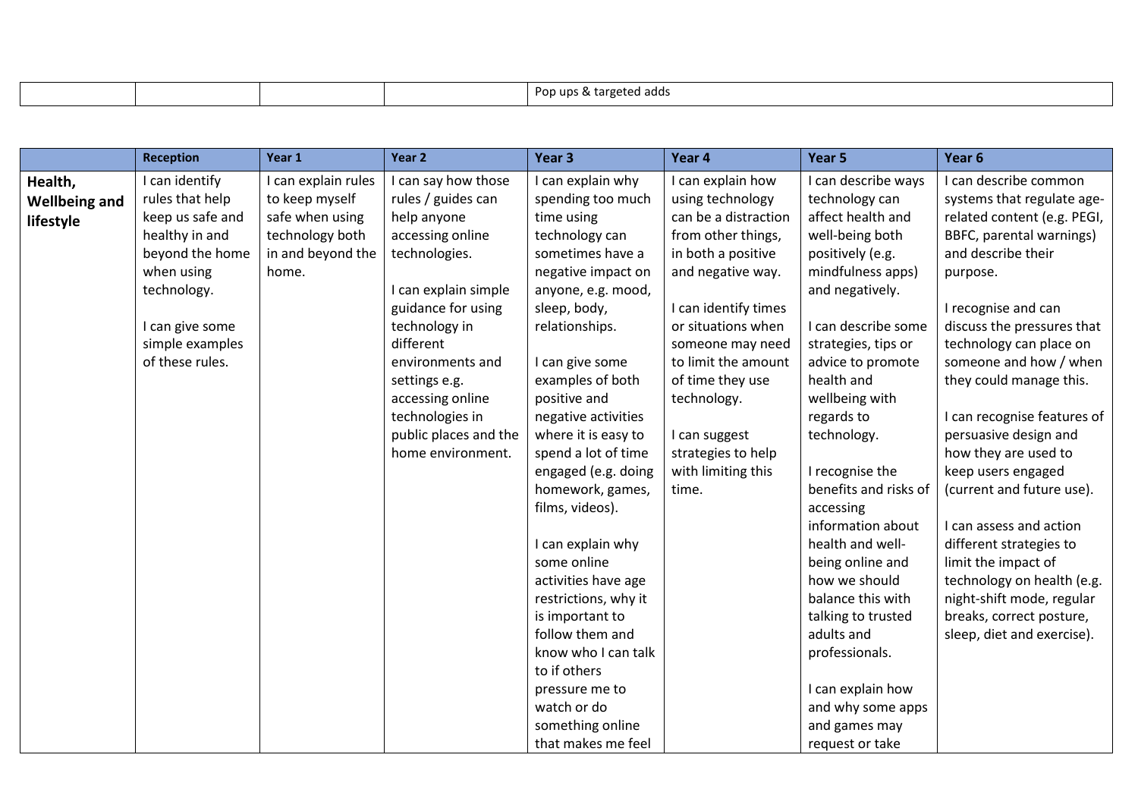| Por<br>uns<br>$\overline{a}$<br>auu |
|-------------------------------------|
|-------------------------------------|

|                      | <b>Reception</b> | Year 1              | Year 2                | Year 3               | Year 4               | Year 5                | Year 6                      |
|----------------------|------------------|---------------------|-----------------------|----------------------|----------------------|-----------------------|-----------------------------|
| Health,              | I can identify   | I can explain rules | I can say how those   | I can explain why    | I can explain how    | I can describe ways   | I can describe common       |
| <b>Wellbeing and</b> | rules that help  | to keep myself      | rules / guides can    | spending too much    | using technology     | technology can        | systems that regulate age-  |
| lifestyle            | keep us safe and | safe when using     | help anyone           | time using           | can be a distraction | affect health and     | related content (e.g. PEGI, |
|                      | healthy in and   | technology both     | accessing online      | technology can       | from other things,   | well-being both       | BBFC, parental warnings)    |
|                      | beyond the home  | in and beyond the   | technologies.         | sometimes have a     | in both a positive   | positively (e.g.      | and describe their          |
|                      | when using       | home.               |                       | negative impact on   | and negative way.    | mindfulness apps)     | purpose.                    |
|                      | technology.      |                     | I can explain simple  | anyone, e.g. mood,   |                      | and negatively.       |                             |
|                      |                  |                     | guidance for using    | sleep, body,         | I can identify times |                       | I recognise and can         |
|                      | I can give some  |                     | technology in         | relationships.       | or situations when   | I can describe some   | discuss the pressures that  |
|                      | simple examples  |                     | different             |                      | someone may need     | strategies, tips or   | technology can place on     |
|                      | of these rules.  |                     | environments and      | I can give some      | to limit the amount  | advice to promote     | someone and how / when      |
|                      |                  |                     | settings e.g.         | examples of both     | of time they use     | health and            | they could manage this.     |
|                      |                  |                     | accessing online      | positive and         | technology.          | wellbeing with        |                             |
|                      |                  |                     | technologies in       | negative activities  |                      | regards to            | I can recognise features of |
|                      |                  |                     | public places and the | where it is easy to  | I can suggest        | technology.           | persuasive design and       |
|                      |                  |                     | home environment.     | spend a lot of time  | strategies to help   |                       | how they are used to        |
|                      |                  |                     |                       | engaged (e.g. doing  | with limiting this   | I recognise the       | keep users engaged          |
|                      |                  |                     |                       | homework, games,     | time.                | benefits and risks of | (current and future use).   |
|                      |                  |                     |                       | films, videos).      |                      | accessing             |                             |
|                      |                  |                     |                       |                      |                      | information about     | I can assess and action     |
|                      |                  |                     |                       | I can explain why    |                      | health and well-      | different strategies to     |
|                      |                  |                     |                       | some online          |                      | being online and      | limit the impact of         |
|                      |                  |                     |                       | activities have age  |                      | how we should         | technology on health (e.g.  |
|                      |                  |                     |                       | restrictions, why it |                      | balance this with     | night-shift mode, regular   |
|                      |                  |                     |                       | is important to      |                      | talking to trusted    | breaks, correct posture,    |
|                      |                  |                     |                       | follow them and      |                      | adults and            | sleep, diet and exercise).  |
|                      |                  |                     |                       | know who I can talk  |                      | professionals.        |                             |
|                      |                  |                     |                       | to if others         |                      |                       |                             |
|                      |                  |                     |                       | pressure me to       |                      | I can explain how     |                             |
|                      |                  |                     |                       | watch or do          |                      | and why some apps     |                             |
|                      |                  |                     |                       | something online     |                      | and games may         |                             |
|                      |                  |                     |                       | that makes me feel   |                      | request or take       |                             |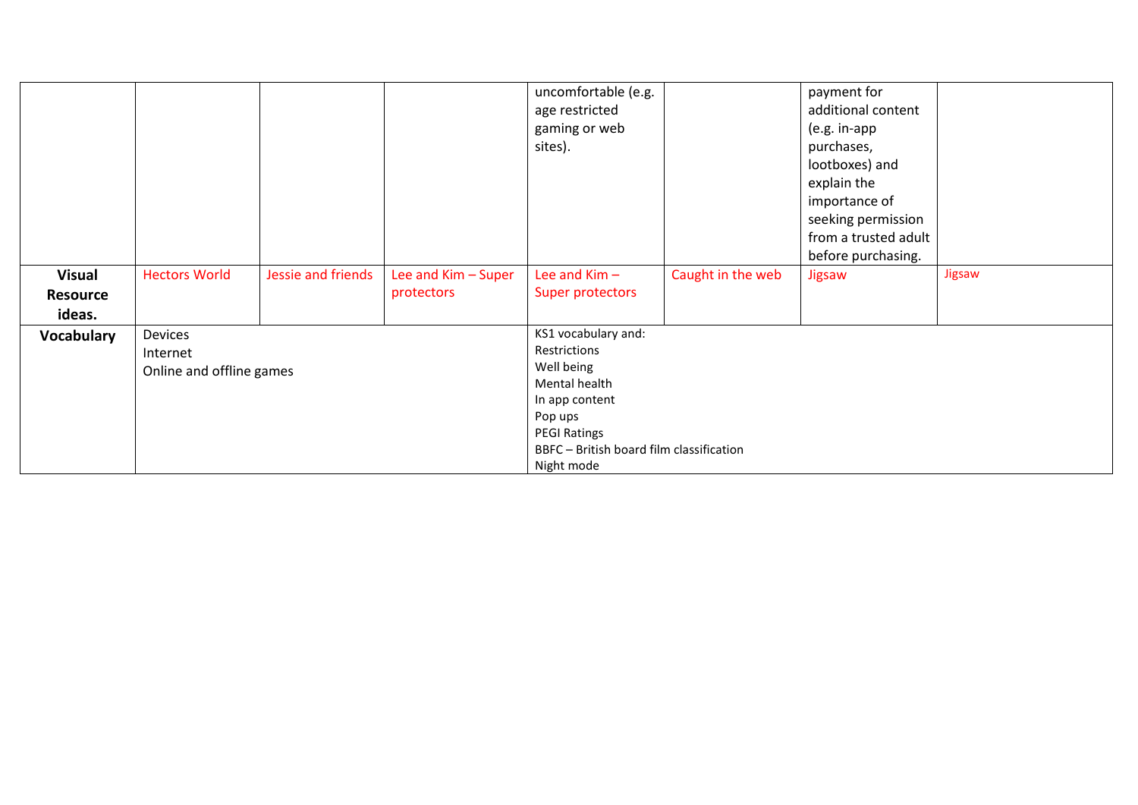|                   |                          |                    |                     | uncomfortable (e.g.                      |                   | payment for          |        |  |  |
|-------------------|--------------------------|--------------------|---------------------|------------------------------------------|-------------------|----------------------|--------|--|--|
|                   |                          |                    |                     | age restricted                           |                   | additional content   |        |  |  |
|                   |                          |                    |                     | gaming or web                            |                   | (e.g. in-app         |        |  |  |
|                   |                          |                    |                     | sites).                                  |                   | purchases,           |        |  |  |
|                   |                          |                    |                     |                                          |                   | lootboxes) and       |        |  |  |
|                   |                          |                    |                     |                                          |                   | explain the          |        |  |  |
|                   |                          |                    |                     |                                          |                   | importance of        |        |  |  |
|                   |                          |                    |                     |                                          |                   | seeking permission   |        |  |  |
|                   |                          |                    |                     |                                          |                   | from a trusted adult |        |  |  |
|                   |                          |                    |                     |                                          |                   | before purchasing.   |        |  |  |
| <b>Visual</b>     | <b>Hectors World</b>     | Jessie and friends | Lee and Kim - Super | Lee and $Kim -$                          | Caught in the web | Jigsaw               | Jigsaw |  |  |
| <b>Resource</b>   |                          |                    | protectors          | Super protectors                         |                   |                      |        |  |  |
| ideas.            |                          |                    |                     |                                          |                   |                      |        |  |  |
| <b>Vocabulary</b> | Devices                  |                    |                     | KS1 vocabulary and:                      |                   |                      |        |  |  |
|                   | Internet                 |                    |                     | Restrictions                             |                   |                      |        |  |  |
|                   | Online and offline games |                    |                     | Well being                               |                   |                      |        |  |  |
|                   |                          |                    |                     | Mental health                            |                   |                      |        |  |  |
|                   |                          |                    |                     | In app content                           |                   |                      |        |  |  |
|                   |                          |                    |                     | Pop ups                                  |                   |                      |        |  |  |
|                   |                          |                    |                     | <b>PEGI Ratings</b>                      |                   |                      |        |  |  |
|                   |                          |                    |                     | BBFC - British board film classification |                   |                      |        |  |  |
|                   | Night mode               |                    |                     |                                          |                   |                      |        |  |  |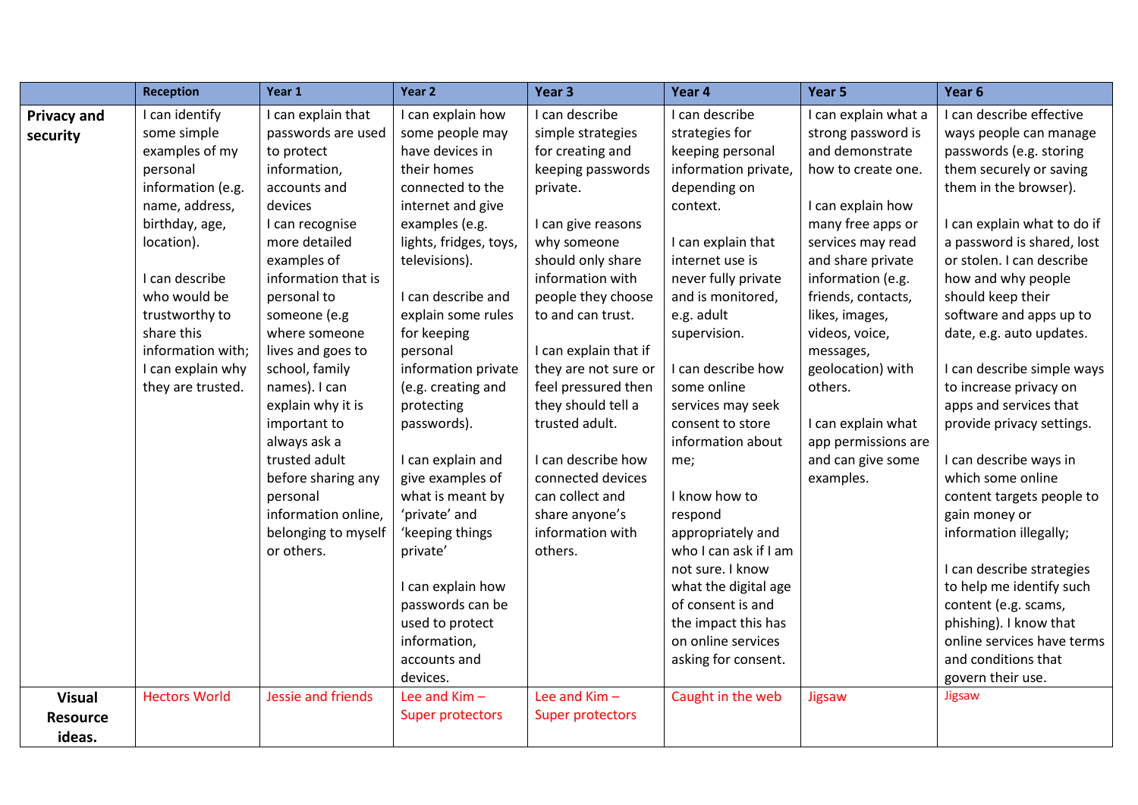|                    | <b>Reception</b>     | Year 1              | Year 2                 | Year <sub>3</sub>       | Year 4                | Year 5               | Year 6                      |
|--------------------|----------------------|---------------------|------------------------|-------------------------|-----------------------|----------------------|-----------------------------|
| <b>Privacy and</b> | I can identify       | I can explain that  | I can explain how      | I can describe          | I can describe        | I can explain what a | I can describe effective    |
| security           | some simple          | passwords are used  | some people may        | simple strategies       | strategies for        | strong password is   | ways people can manage      |
|                    | examples of my       | to protect          | have devices in        | for creating and        | keeping personal      | and demonstrate      | passwords (e.g. storing     |
|                    | personal             | information,        | their homes            | keeping passwords       | information private,  | how to create one.   | them securely or saving     |
|                    | information (e.g.    | accounts and        | connected to the       | private.                | depending on          |                      | them in the browser).       |
|                    | name, address,       | devices             | internet and give      |                         | context.              | I can explain how    |                             |
|                    | birthday, age,       | I can recognise     | examples (e.g.         | I can give reasons      |                       | many free apps or    | I can explain what to do if |
|                    | location).           | more detailed       | lights, fridges, toys, | why someone             | I can explain that    | services may read    | a password is shared, lost  |
|                    |                      | examples of         | televisions).          | should only share       | internet use is       | and share private    | or stolen. I can describe   |
|                    | I can describe       | information that is |                        | information with        | never fully private   | information (e.g.    | how and why people          |
|                    | who would be         | personal to         | I can describe and     | people they choose      | and is monitored,     | friends, contacts,   | should keep their           |
|                    | trustworthy to       | someone (e.g        | explain some rules     | to and can trust.       | e.g. adult            | likes, images,       | software and apps up to     |
|                    | share this           | where someone       | for keeping            |                         | supervision.          | videos, voice,       | date, e.g. auto updates.    |
|                    | information with;    | lives and goes to   | personal               | I can explain that if   |                       | messages,            |                             |
|                    | I can explain why    | school, family      | information private    | they are not sure or    | I can describe how    | geolocation) with    | I can describe simple ways  |
|                    | they are trusted.    | names). I can       | (e.g. creating and     | feel pressured then     | some online           | others.              | to increase privacy on      |
|                    |                      | explain why it is   | protecting             | they should tell a      | services may seek     |                      | apps and services that      |
|                    |                      | important to        | passwords).            | trusted adult.          | consent to store      | I can explain what   | provide privacy settings.   |
|                    |                      | always ask a        |                        |                         | information about     | app permissions are  |                             |
|                    |                      | trusted adult       | I can explain and      | I can describe how      | me;                   | and can give some    | I can describe ways in      |
|                    |                      | before sharing any  | give examples of       | connected devices       |                       | examples.            | which some online           |
|                    |                      | personal            | what is meant by       | can collect and         | I know how to         |                      | content targets people to   |
|                    |                      | information online, | 'private' and          | share anyone's          | respond               |                      | gain money or               |
|                    |                      | belonging to myself | 'keeping things        | information with        | appropriately and     |                      | information illegally;      |
|                    |                      | or others.          | private'               | others.                 | who I can ask if I am |                      |                             |
|                    |                      |                     |                        |                         | not sure. I know      |                      | I can describe strategies   |
|                    |                      |                     | I can explain how      |                         | what the digital age  |                      | to help me identify such    |
|                    |                      |                     | passwords can be       |                         | of consent is and     |                      | content (e.g. scams,        |
|                    |                      |                     | used to protect        |                         | the impact this has   |                      | phishing). I know that      |
|                    |                      |                     | information,           |                         | on online services    |                      | online services have terms  |
|                    |                      |                     | accounts and           |                         | asking for consent.   |                      | and conditions that         |
|                    |                      |                     | devices.               |                         |                       |                      | govern their use.           |
| <b>Visual</b>      | <b>Hectors World</b> | Jessie and friends  | Lee and $Kim -$        | Lee and Kim-            | Caught in the web     | Jigsaw               | Jigsaw                      |
| <b>Resource</b>    |                      |                     | Super protectors       | <b>Super protectors</b> |                       |                      |                             |
| ideas.             |                      |                     |                        |                         |                       |                      |                             |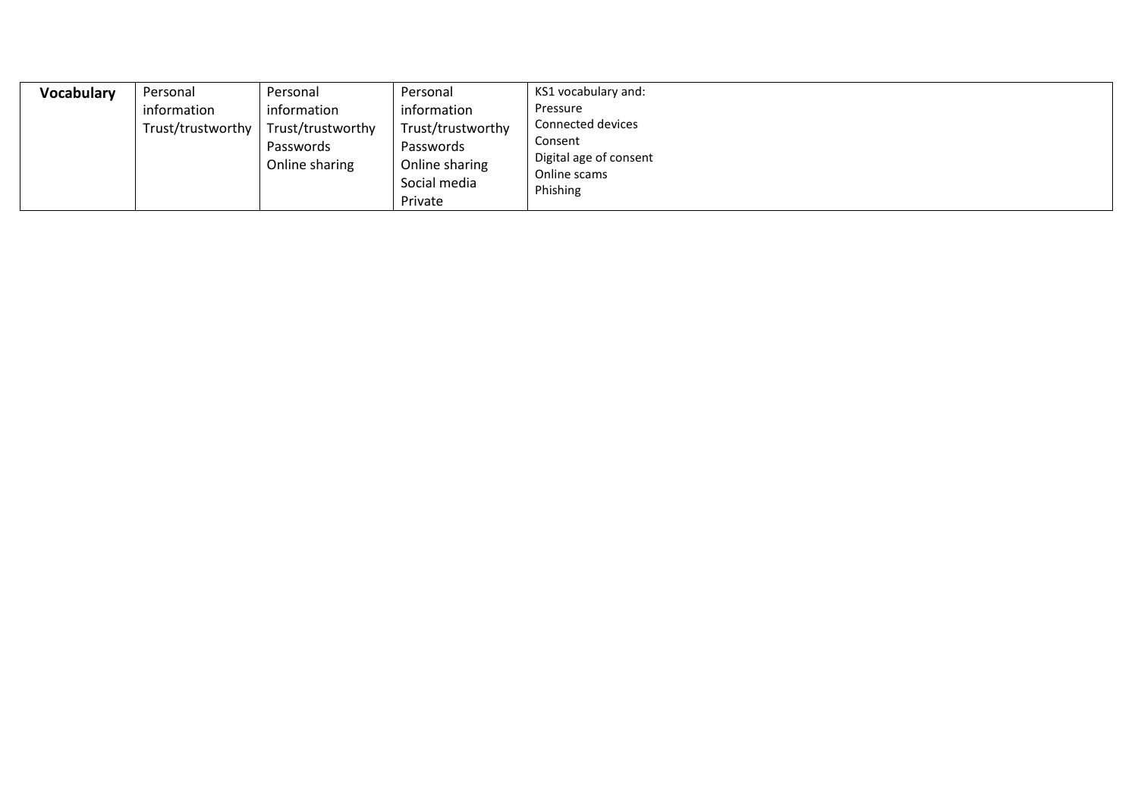| <b>Vocabulary</b> | Personal          | Personal               | Personal                       | KS1 vocabulary and:                    |  |  |
|-------------------|-------------------|------------------------|--------------------------------|----------------------------------------|--|--|
|                   | information       | information            | information                    | Pressure                               |  |  |
|                   | Trust/trustworthy | Trust/trustworthy      | Trust/trustworthy              | Connected devices                      |  |  |
|                   |                   | Passwords<br>Passwords |                                | Consent                                |  |  |
|                   |                   | Online sharing         | Online sharing<br>Social media | Digital age of consent<br>Online scams |  |  |
|                   |                   |                        |                                |                                        |  |  |
|                   |                   |                        | Private                        |                                        |  |  |